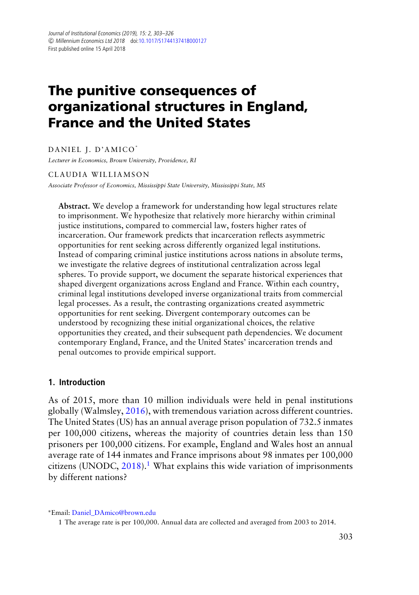# **The punitive consequences of organizational structures in England, France and the United States**

DANIEL J. D'AMICO<sup>∗</sup>

*Lecturer in Economics, Brown University, Providence, RI*

#### CLAUDIA WILLIAMSON

*Associate Professor of Economics, Mississippi State University, Mississippi State, MS*

**Abstract.** We develop a framework for understanding how legal structures relate to imprisonment. We hypothesize that relatively more hierarchy within criminal justice institutions, compared to commercial law, fosters higher rates of incarceration. Our framework predicts that incarceration reflects asymmetric opportunities for rent seeking across differently organized legal institutions. Instead of comparing criminal justice institutions across nations in absolute terms, we investigate the relative degrees of institutional centralization across legal spheres. To provide support, we document the separate historical experiences that shaped divergent organizations across England and France. Within each country, criminal legal institutions developed inverse organizational traits from commercial legal processes. As a result, the contrasting organizations created asymmetric opportunities for rent seeking. Divergent contemporary outcomes can be understood by recognizing these initial organizational choices, the relative opportunities they created, and their subsequent path dependencies. We document contemporary England, France, and the United States' incarceration trends and penal outcomes to provide empirical support.

# **1. Introduction**

As of 2015, more than 10 million individuals were held in penal institutions globally (Walmsley, [2016\)](#page-23-0), with tremendous variation across different countries. The United States (US) has an annual average prison population of 732.5 inmates per 100,000 citizens, whereas the majority of countries detain less than 150 prisoners per 100,000 citizens. For example, England and Wales host an annual average rate of 144 inmates and France imprisons about 98 inmates per 100,000 citizens (UNODC,  $2018$ ).<sup>1</sup> What explains this wide variation of imprisonments by different nations?

<sup>∗</sup>Email: [Daniel\\_DAmico@brown.edu](mailto:Daniel_DAmico@brown.edu)

<sup>1</sup> The average rate is per 100,000. Annual data are collected and averaged from 2003 to 2014.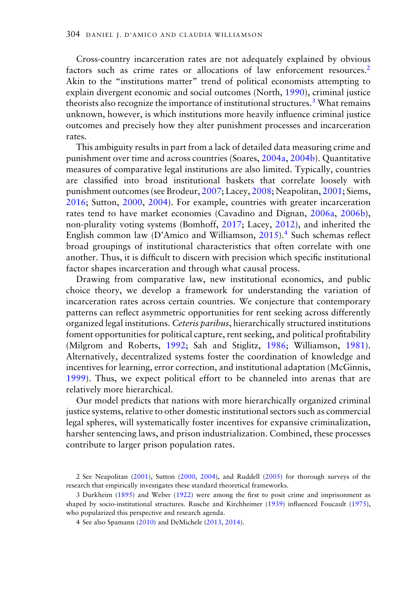Cross-country incarceration rates are not adequately explained by obvious factors such as crime rates or allocations of law enforcement resources.<sup>2</sup> Akin to the "institutions matter" trend of political economists attempting to explain divergent economic and social outcomes (North, [1990\)](#page-21-0), criminal justice theorists also recognize the importance of institutional structures.<sup>3</sup> What remains unknown, however, is which institutions more heavily influence criminal justice outcomes and precisely how they alter punishment processes and incarceration rates.

This ambiguity results in part from a lack of detailed data measuring crime and punishment over time and across countries (Soares, [2004a,](#page-22-0) [2004b\)](#page-22-0). Quantitative measures of comparative legal institutions are also limited. Typically, countries are classified into broad institutional baskets that correlate loosely with punishment outcomes (see Brodeur, [2007;](#page-19-0) Lacey, [2008;](#page-21-0) Neapolitan, [2001;](#page-21-0) Siems, [2016;](#page-22-0) Sutton, [2000,](#page-22-0) [2004\)](#page-23-0). For example, countries with greater incarceration rates tend to have market economies (Cavadino and Dignan, [2006a,](#page-19-0) [2006b\)](#page-19-0), non-plurality voting systems (Bomhoff, [2017;](#page-19-0) Lacey, [2012\)](#page-21-0), and inherited the English common law (D'Amico and Williamson,  $2015$ ).<sup>4</sup> Such schemas reflect broad groupings of institutional characteristics that often correlate with one another. Thus, it is difficult to discern with precision which specific institutional factor shapes incarceration and through what causal process.

Drawing from comparative law, new institutional economics, and public choice theory, we develop a framework for understanding the variation of incarceration rates across certain countries. We conjecture that contemporary patterns can reflect asymmetric opportunities for rent seeking across differently organized legal institutions. *Ceteris paribus*, hierarchically structured institutions foment opportunities for political capture, rent seeking, and political profitability (Milgrom and Roberts, [1992;](#page-21-0) Sah and Stiglitz, [1986;](#page-22-0) Williamson, [1981\)](#page-23-0). Alternatively, decentralized systems foster the coordination of knowledge and incentives for learning, error correction, and institutional adaptation (McGinnis, [1999\)](#page-21-0). Thus, we expect political effort to be channeled into arenas that are relatively more hierarchical.

Our model predicts that nations with more hierarchically organized criminal justice systems, relative to other domestic institutional sectors such as commercial legal spheres, will systematically foster incentives for expansive criminalization, harsher sentencing laws, and prison industrialization. Combined, these processes contribute to larger prison population rates.

<sup>2</sup> See Neapolitan [\(2001\)](#page-21-0), Sutton [\(2000,](#page-22-0) [2004\)](#page-23-0), and Ruddell [\(2005\)](#page-22-0) for thorough surveys of the research that empirically investigates these standard theoretical frameworks.

<sup>3</sup> Durkheim [\(1895\)](#page-20-0) and Weber [\(1922\)](#page-23-0) were among the first to posit crime and imprisonment as shaped by socio-institutional structures. Rusche and Kirchheimer [\(1939\)](#page-22-0) influenced Foucault [\(1975\)](#page-20-0), who popularized this perspective and research agenda.

<sup>4</sup> See also Spamann [\(2010\)](#page-22-0) and DeMichele [\(2013,](#page-20-0) [2014\)](#page-20-0).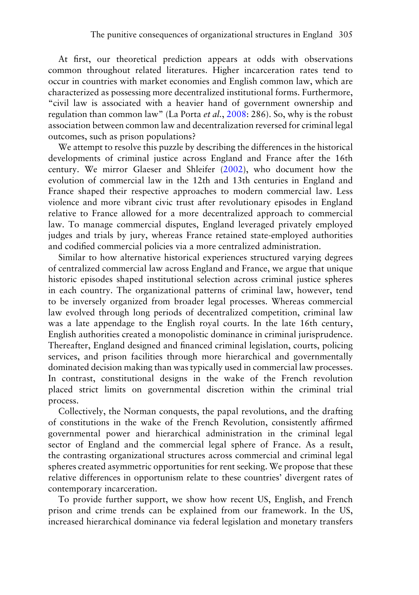At first, our theoretical prediction appears at odds with observations common throughout related literatures. Higher incarceration rates tend to occur in countries with market economies and English common law, which are characterized as possessing more decentralized institutional forms. Furthermore, "civil law is associated with a heavier hand of government ownership and regulation than common law" (La Porta *et al.*, [2008:](#page-21-0) 286). So, why is the robust association between common law and decentralization reversed for criminal legal outcomes, such as prison populations?

We attempt to resolve this puzzle by describing the differences in the historical developments of criminal justice across England and France after the 16th century. We mirror Glaeser and Shleifer [\(2002\)](#page-20-0), who document how the evolution of commercial law in the 12th and 13th centuries in England and France shaped their respective approaches to modern commercial law. Less violence and more vibrant civic trust after revolutionary episodes in England relative to France allowed for a more decentralized approach to commercial law. To manage commercial disputes, England leveraged privately employed judges and trials by jury, whereas France retained state-employed authorities and codified commercial policies via a more centralized administration.

Similar to how alternative historical experiences structured varying degrees of centralized commercial law across England and France, we argue that unique historic episodes shaped institutional selection across criminal justice spheres in each country. The organizational patterns of criminal law, however, tend to be inversely organized from broader legal processes. Whereas commercial law evolved through long periods of decentralized competition, criminal law was a late appendage to the English royal courts. In the late 16th century, English authorities created a monopolistic dominance in criminal jurisprudence. Thereafter, England designed and financed criminal legislation, courts, policing services, and prison facilities through more hierarchical and governmentally dominated decision making than was typically used in commercial law processes. In contrast, constitutional designs in the wake of the French revolution placed strict limits on governmental discretion within the criminal trial process.

Collectively, the Norman conquests, the papal revolutions, and the drafting of constitutions in the wake of the French Revolution, consistently affirmed governmental power and hierarchical administration in the criminal legal sector of England and the commercial legal sphere of France. As a result, the contrasting organizational structures across commercial and criminal legal spheres created asymmetric opportunities for rent seeking. We propose that these relative differences in opportunism relate to these countries' divergent rates of contemporary incarceration.

To provide further support, we show how recent US, English, and French prison and crime trends can be explained from our framework. In the US, increased hierarchical dominance via federal legislation and monetary transfers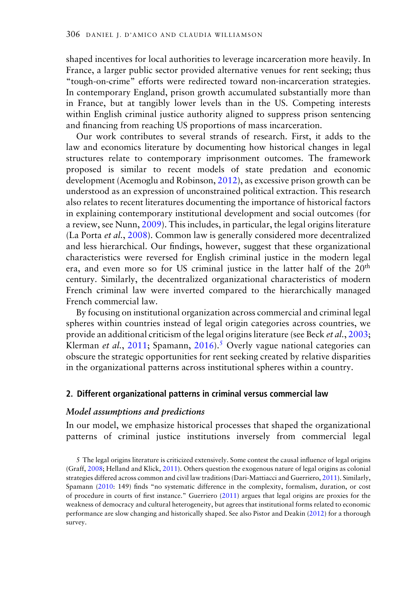shaped incentives for local authorities to leverage incarceration more heavily. In France, a larger public sector provided alternative venues for rent seeking; thus "tough-on-crime" efforts were redirected toward non-incarceration strategies. In contemporary England, prison growth accumulated substantially more than in France, but at tangibly lower levels than in the US. Competing interests within English criminal justice authority aligned to suppress prison sentencing and financing from reaching US proportions of mass incarceration.

Our work contributes to several strands of research. First, it adds to the law and economics literature by documenting how historical changes in legal structures relate to contemporary imprisonment outcomes. The framework proposed is similar to recent models of state predation and economic development (Acemoglu and Robinson, [2012\)](#page-18-0), as excessive prison growth can be understood as an expression of unconstrained political extraction. This research also relates to recent literatures documenting the importance of historical factors in explaining contemporary institutional development and social outcomes (for a review, see Nunn, [2009\)](#page-21-0). This includes, in particular, the legal origins literature (La Porta *et al.*, [2008\)](#page-21-0). Common law is generally considered more decentralized and less hierarchical. Our findings, however, suggest that these organizational characteristics were reversed for English criminal justice in the modern legal era, and even more so for US criminal justice in the latter half of the  $20<sup>th</sup>$ century. Similarly, the decentralized organizational characteristics of modern French criminal law were inverted compared to the hierarchically managed French commercial law.

By focusing on institutional organization across commercial and criminal legal spheres within countries instead of legal origin categories across countries, we provide an additional criticism of the legal origins literature (see Beck *et al.*, [2003;](#page-18-0) Klerman *et al.*, [2011;](#page-21-0) Spamann, [2016\)](#page-22-0).<sup>5</sup> Overly vague national categories can obscure the strategic opportunities for rent seeking created by relative disparities in the organizational patterns across institutional spheres within a country.

## **2. Different organizational patterns in criminal versus commercial law**

#### *Model assumptions and predictions*

In our model, we emphasize historical processes that shaped the organizational patterns of criminal justice institutions inversely from commercial legal

5 The legal origins literature is criticized extensively. Some contest the causal influence of legal origins (Graff, [2008;](#page-20-0) Helland and Klick, [2011\)](#page-20-0). Others question the exogenous nature of legal origins as colonial strategies differed across common and civil law traditions (Dari-Mattiacci and Guerriero, [2011\)](#page-19-0). Similarly, Spamann [\(2010:](#page-22-0) 149) finds "no systematic difference in the complexity, formalism, duration, or cost of procedure in courts of first instance." Guerriero [\(2011\)](#page-20-0) argues that legal origins are proxies for the weakness of democracy and cultural heterogeneity, but agrees that institutional forms related to economic performance are slow changing and historically shaped. See also Pistor and Deakin [\(2012\)](#page-22-0) for a thorough survey.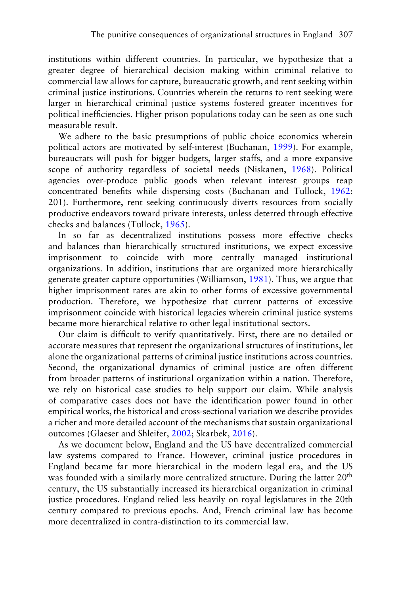institutions within different countries. In particular, we hypothesize that a greater degree of hierarchical decision making within criminal relative to commercial law allows for capture, bureaucratic growth, and rent seeking within criminal justice institutions. Countries wherein the returns to rent seeking were larger in hierarchical criminal justice systems fostered greater incentives for political inefficiencies. Higher prison populations today can be seen as one such measurable result.

We adhere to the basic presumptions of public choice economics wherein political actors are motivated by self-interest (Buchanan, [1999\)](#page-19-0). For example, bureaucrats will push for bigger budgets, larger staffs, and a more expansive scope of authority regardless of societal needs (Niskanen, [1968\)](#page-21-0). Political agencies over-produce public goods when relevant interest groups reap concentrated benefits while dispersing costs (Buchanan and Tullock, [1962:](#page-19-0) 201). Furthermore, rent seeking continuously diverts resources from socially productive endeavors toward private interests, unless deterred through effective checks and balances (Tullock, [1965\)](#page-23-0).

In so far as decentralized institutions possess more effective checks and balances than hierarchically structured institutions, we expect excessive imprisonment to coincide with more centrally managed institutional organizations. In addition, institutions that are organized more hierarchically generate greater capture opportunities (Williamson, [1981\)](#page-23-0). Thus, we argue that higher imprisonment rates are akin to other forms of excessive governmental production. Therefore, we hypothesize that current patterns of excessive imprisonment coincide with historical legacies wherein criminal justice systems became more hierarchical relative to other legal institutional sectors.

Our claim is difficult to verify quantitatively. First, there are no detailed or accurate measures that represent the organizational structures of institutions, let alone the organizational patterns of criminal justice institutions across countries. Second, the organizational dynamics of criminal justice are often different from broader patterns of institutional organization within a nation. Therefore, we rely on historical case studies to help support our claim. While analysis of comparative cases does not have the identification power found in other empirical works, the historical and cross-sectional variation we describe provides a richer and more detailed account of the mechanisms that sustain organizational outcomes (Glaeser and Shleifer, [2002;](#page-20-0) Skarbek, [2016\)](#page-22-0).

As we document below, England and the US have decentralized commercial law systems compared to France. However, criminal justice procedures in England became far more hierarchical in the modern legal era, and the US was founded with a similarly more centralized structure. During the latter  $20<sup>th</sup>$ century, the US substantially increased its hierarchical organization in criminal justice procedures. England relied less heavily on royal legislatures in the 20th century compared to previous epochs. And, French criminal law has become more decentralized in contra-distinction to its commercial law.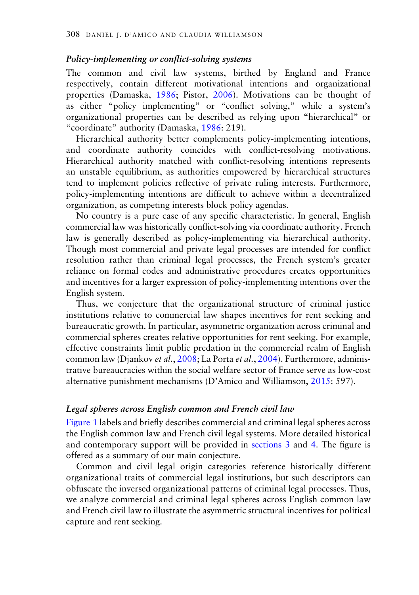# *Policy-implementing or conflict-solving systems*

The common and civil law systems, birthed by England and France respectively, contain different motivational intentions and organizational properties (Damaska, [1986;](#page-19-0) Pistor, [2006\)](#page-22-0). Motivations can be thought of as either "policy implementing" or "conflict solving," while a system's organizational properties can be described as relying upon "hierarchical" or "coordinate" authority (Damaska, [1986:](#page-19-0) 219).

Hierarchical authority better complements policy-implementing intentions, and coordinate authority coincides with conflict-resolving motivations. Hierarchical authority matched with conflict-resolving intentions represents an unstable equilibrium, as authorities empowered by hierarchical structures tend to implement policies reflective of private ruling interests. Furthermore, policy-implementing intentions are difficult to achieve within a decentralized organization, as competing interests block policy agendas.

No country is a pure case of any specific characteristic. In general, English commercial law was historically conflict-solving via coordinate authority. French law is generally described as policy-implementing via hierarchical authority. Though most commercial and private legal processes are intended for conflict resolution rather than criminal legal processes, the French system's greater reliance on formal codes and administrative procedures creates opportunities and incentives for a larger expression of policy-implementing intentions over the English system.

Thus, we conjecture that the organizational structure of criminal justice institutions relative to commercial law shapes incentives for rent seeking and bureaucratic growth. In particular, asymmetric organization across criminal and commercial spheres creates relative opportunities for rent seeking. For example, effective constraints limit public predation in the commercial realm of English common law (Djankov *et al.*, [2008;](#page-20-0) La Porta *et al.*, [2004\)](#page-21-0). Furthermore, administrative bureaucracies within the social welfare sector of France serve as low-cost alternative punishment mechanisms (D'Amico and Williamson, [2015:](#page-19-0) 597).

# *Legal spheres across English common and French civil law*

[Figure 1](#page-6-0) labels and briefly describes commercial and criminal legal spheres across the English common law and French civil legal systems. More detailed historical and contemporary support will be provided in [sections 3](#page-8-0) and [4.](#page-11-0) The figure is offered as a summary of our main conjecture.

Common and civil legal origin categories reference historically different organizational traits of commercial legal institutions, but such descriptors can obfuscate the inversed organizational patterns of criminal legal processes. Thus, we analyze commercial and criminal legal spheres across English common law and French civil law to illustrate the asymmetric structural incentives for political capture and rent seeking.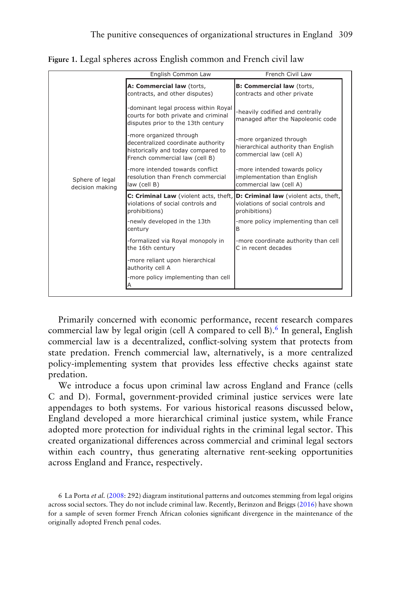<span id="page-6-0"></span>

| Figure 1. Legal spheres across English common and French civil law |  |  |
|--------------------------------------------------------------------|--|--|
|--------------------------------------------------------------------|--|--|

| English Common Law                 |                                                                                                                                       | French Civil Law                                                                            |  |
|------------------------------------|---------------------------------------------------------------------------------------------------------------------------------------|---------------------------------------------------------------------------------------------|--|
|                                    | A: Commercial law (torts,<br>contracts, and other disputes)                                                                           | <b>B: Commercial law (torts,</b><br>contracts and other private                             |  |
|                                    | -dominant legal process within Royal<br>courts for both private and criminal<br>disputes prior to the 13th century                    | -heavily codified and centrally<br>managed after the Napoleonic code                        |  |
|                                    | -more organized through<br>decentralized coordinate authority<br>historically and today compared to<br>French commercial law (cell B) | -more organized through<br>hierarchical authority than English<br>commercial law (cell A)   |  |
| Sphere of legal<br>decision making | -more intended towards conflict<br>resolution than French commercial<br>law (cell B)                                                  | -more intended towards policy<br>implementation than English<br>commercial law (cell A)     |  |
|                                    | C: Criminal Law (violent acts, theft,<br>violations of social controls and<br>prohibitions)                                           | D: Criminal law (violent acts, theft,<br>violations of social controls and<br>prohibitions) |  |
|                                    | -newly developed in the 13th<br>century                                                                                               | -more policy implementing than cell<br>B                                                    |  |
|                                    | -formalized via Royal monopoly in<br>the 16th century                                                                                 | -more coordinate authority than cell<br>C in recent decades                                 |  |
|                                    | -more reliant upon hierarchical<br>authority cell A                                                                                   |                                                                                             |  |
|                                    | -more policy implementing than cell                                                                                                   |                                                                                             |  |

Primarily concerned with economic performance, recent research compares commercial law by legal origin (cell A compared to cell B).<sup>6</sup> In general, English commercial law is a decentralized, conflict-solving system that protects from state predation. French commercial law, alternatively, is a more centralized policy-implementing system that provides less effective checks against state predation.

We introduce a focus upon criminal law across England and France (cells C and D). Formal, government-provided criminal justice services were late appendages to both systems. For various historical reasons discussed below, England developed a more hierarchical criminal justice system, while France adopted more protection for individual rights in the criminal legal sector. This created organizational differences across commercial and criminal legal sectors within each country, thus generating alternative rent-seeking opportunities across England and France, respectively.

<sup>6</sup> La Porta *et al.* [\(2008:](#page-21-0) 292) diagram institutional patterns and outcomes stemming from legal origins across social sectors. They do not include criminal law. Recently, Berinzon and Briggs [\(2016\)](#page-19-0) have shown for a sample of seven former French African colonies significant divergence in the maintenance of the originally adopted French penal codes.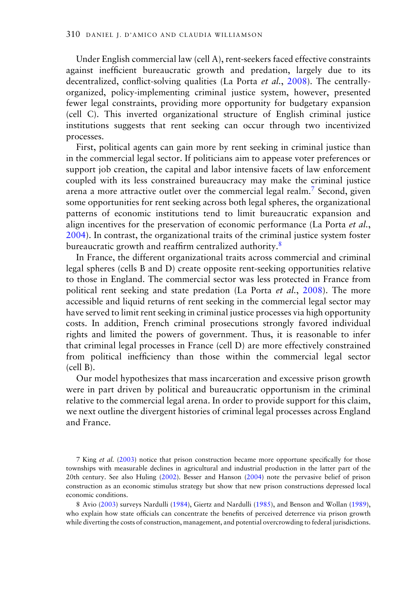Under English commercial law (cell A), rent-seekers faced effective constraints against inefficient bureaucratic growth and predation, largely due to its decentralized, conflict-solving qualities (La Porta *et al.*, [2008\)](#page-21-0). The centrallyorganized, policy-implementing criminal justice system, however, presented fewer legal constraints, providing more opportunity for budgetary expansion (cell C). This inverted organizational structure of English criminal justice institutions suggests that rent seeking can occur through two incentivized processes.

First, political agents can gain more by rent seeking in criminal justice than in the commercial legal sector. If politicians aim to appease voter preferences or support job creation, the capital and labor intensive facets of law enforcement coupled with its less constrained bureaucracy may make the criminal justice arena a more attractive outlet over the commercial legal realm.7 Second, given some opportunities for rent seeking across both legal spheres, the organizational patterns of economic institutions tend to limit bureaucratic expansion and align incentives for the preservation of economic performance (La Porta *et al.*, [2004\)](#page-21-0). In contrast, the organizational traits of the criminal justice system foster bureaucratic growth and reaffirm centralized authority.<sup>8</sup>

In France, the different organizational traits across commercial and criminal legal spheres (cells B and D) create opposite rent-seeking opportunities relative to those in England. The commercial sector was less protected in France from political rent seeking and state predation (La Porta *et al.*, [2008\)](#page-21-0). The more accessible and liquid returns of rent seeking in the commercial legal sector may have served to limit rent seeking in criminal justice processes via high opportunity costs. In addition, French criminal prosecutions strongly favored individual rights and limited the powers of government. Thus, it is reasonable to infer that criminal legal processes in France (cell D) are more effectively constrained from political inefficiency than those within the commercial legal sector (cell B).

Our model hypothesizes that mass incarceration and excessive prison growth were in part driven by political and bureaucratic opportunism in the criminal relative to the commercial legal arena. In order to provide support for this claim, we next outline the divergent histories of criminal legal processes across England and France.

7 King *et al.* [\(2003\)](#page-21-0) notice that prison construction became more opportune specifically for those townships with measurable declines in agricultural and industrial production in the latter part of the 20th century. See also Huling [\(2002\)](#page-20-0). Besser and Hanson [\(2004\)](#page-19-0) note the pervasive belief of prison construction as an economic stimulus strategy but show that new prison constructions depressed local economic conditions.

8 Avio [\(2003\)](#page-18-0) surveys Nardulli [\(1984\)](#page-21-0), Giertz and Nardulli [\(1985\)](#page-20-0), and Benson and Wollan [\(1989\)](#page-19-0), who explain how state officials can concentrate the benefits of perceived deterrence via prison growth while diverting the costs of construction, management, and potential overcrowding to federal jurisdictions.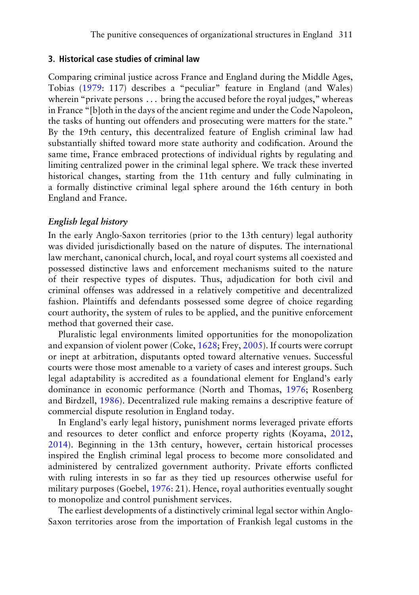# <span id="page-8-0"></span>**3. Historical case studies of criminal law**

Comparing criminal justice across France and England during the Middle Ages, Tobias [\(1979:](#page-23-0) 117) describes a "peculiar" feature in England (and Wales) wherein "private persons . . . bring the accused before the royal judges," whereas in France "[b]oth in the days of the ancient regime and under the Code Napoleon, the tasks of hunting out offenders and prosecuting were matters for the state." By the 19th century, this decentralized feature of English criminal law had substantially shifted toward more state authority and codification. Around the same time, France embraced protections of individual rights by regulating and limiting centralized power in the criminal legal sphere. We track these inverted historical changes, starting from the 11th century and fully culminating in a formally distinctive criminal legal sphere around the 16th century in both England and France.

### *English legal history*

In the early Anglo-Saxon territories (prior to the 13th century) legal authority was divided jurisdictionally based on the nature of disputes. The international law merchant, canonical church, local, and royal court systems all coexisted and possessed distinctive laws and enforcement mechanisms suited to the nature of their respective types of disputes. Thus, adjudication for both civil and criminal offenses was addressed in a relatively competitive and decentralized fashion. Plaintiffs and defendants possessed some degree of choice regarding court authority, the system of rules to be applied, and the punitive enforcement method that governed their case.

Pluralistic legal environments limited opportunities for the monopolization and expansion of violent power (Coke, [1628;](#page-19-0) Frey, [2005\)](#page-20-0). If courts were corrupt or inept at arbitration, disputants opted toward alternative venues. Successful courts were those most amenable to a variety of cases and interest groups. Such legal adaptability is accredited as a foundational element for England's early dominance in economic performance (North and Thomas, [1976;](#page-21-0) Rosenberg and Birdzell, [1986\)](#page-22-0). Decentralized rule making remains a descriptive feature of commercial dispute resolution in England today.

In England's early legal history, punishment norms leveraged private efforts and resources to deter conflict and enforce property rights (Koyama, [2012,](#page-21-0) [2014\)](#page-21-0). Beginning in the 13th century, however, certain historical processes inspired the English criminal legal process to become more consolidated and administered by centralized government authority. Private efforts conflicted with ruling interests in so far as they tied up resources otherwise useful for military purposes (Goebel, [1976:](#page-20-0) 21). Hence, royal authorities eventually sought to monopolize and control punishment services.

The earliest developments of a distinctively criminal legal sector within Anglo-Saxon territories arose from the importation of Frankish legal customs in the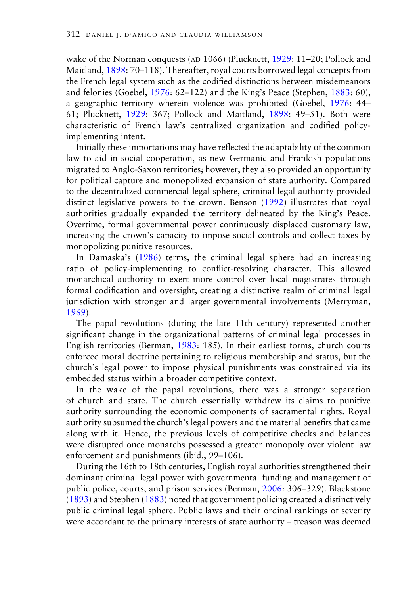wake of the Norman conquests (AD 1066) (Plucknett, [1929:](#page-22-0) 11–20; Pollock and Maitland, [1898:](#page-22-0) 70–118). Thereafter, royal courts borrowed legal concepts from the French legal system such as the codified distinctions between misdemeanors and felonies (Goebel, [1976:](#page-20-0) 62–122) and the King's Peace (Stephen, [1883:](#page-22-0) 60), a geographic territory wherein violence was prohibited (Goebel, [1976:](#page-20-0) 44– 61; Plucknett, [1929:](#page-22-0) 367; Pollock and Maitland, [1898:](#page-22-0) 49–51). Both were characteristic of French law's centralized organization and codified policyimplementing intent.

Initially these importations may have reflected the adaptability of the common law to aid in social cooperation, as new Germanic and Frankish populations migrated to Anglo-Saxon territories; however, they also provided an opportunity for political capture and monopolized expansion of state authority. Compared to the decentralized commercial legal sphere, criminal legal authority provided distinct legislative powers to the crown. Benson [\(1992\)](#page-19-0) illustrates that royal authorities gradually expanded the territory delineated by the King's Peace. Overtime, formal governmental power continuously displaced customary law, increasing the crown's capacity to impose social controls and collect taxes by monopolizing punitive resources.

In Damaska's [\(1986\)](#page-19-0) terms, the criminal legal sphere had an increasing ratio of policy-implementing to conflict-resolving character. This allowed monarchical authority to exert more control over local magistrates through formal codification and oversight, creating a distinctive realm of criminal legal jurisdiction with stronger and larger governmental involvements (Merryman, [1969\)](#page-21-0).

The papal revolutions (during the late 11th century) represented another significant change in the organizational patterns of criminal legal processes in English territories (Berman, [1983:](#page-19-0) 185). In their earliest forms, church courts enforced moral doctrine pertaining to religious membership and status, but the church's legal power to impose physical punishments was constrained via its embedded status within a broader competitive context.

In the wake of the papal revolutions, there was a stronger separation of church and state. The church essentially withdrew its claims to punitive authority surrounding the economic components of sacramental rights. Royal authority subsumed the church's legal powers and the material benefits that came along with it. Hence, the previous levels of competitive checks and balances were disrupted once monarchs possessed a greater monopoly over violent law enforcement and punishments (ibid., 99–106).

During the 16th to 18th centuries, English royal authorities strengthened their dominant criminal legal power with governmental funding and management of public police, courts, and prison services (Berman, [2006:](#page-19-0) 306–329). Blackstone [\(1893\)](#page-19-0) and Stephen [\(1883\)](#page-22-0) noted that government policing created a distinctively public criminal legal sphere. Public laws and their ordinal rankings of severity were accordant to the primary interests of state authority – treason was deemed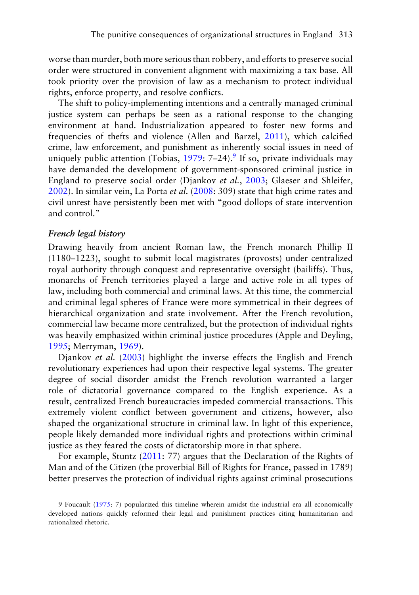worse than murder, both more serious than robbery, and efforts to preserve social order were structured in convenient alignment with maximizing a tax base. All took priority over the provision of law as a mechanism to protect individual rights, enforce property, and resolve conflicts.

The shift to policy-implementing intentions and a centrally managed criminal justice system can perhaps be seen as a rational response to the changing environment at hand. Industrialization appeared to foster new forms and frequencies of thefts and violence (Allen and Barzel, [2011\)](#page-18-0), which calcified crime, law enforcement, and punishment as inherently social issues in need of uniquely public attention (Tobias,  $1979: 7-24$  $1979: 7-24$ ).<sup>9</sup> If so, private individuals may have demanded the development of government-sponsored criminal justice in England to preserve social order (Djankov *et al.*, [2003;](#page-20-0) Glaeser and Shleifer, [2002\)](#page-20-0). In similar vein, La Porta *et al.* [\(2008:](#page-21-0) 309) state that high crime rates and civil unrest have persistently been met with "good dollops of state intervention and control."

# *French legal history*

Drawing heavily from ancient Roman law, the French monarch Phillip II (1180–1223), sought to submit local magistrates (provosts) under centralized royal authority through conquest and representative oversight (bailiffs). Thus, monarchs of French territories played a large and active role in all types of law, including both commercial and criminal laws. At this time, the commercial and criminal legal spheres of France were more symmetrical in their degrees of hierarchical organization and state involvement. After the French revolution, commercial law became more centralized, but the protection of individual rights was heavily emphasized within criminal justice procedures (Apple and Deyling, [1995;](#page-18-0) Merryman, [1969\)](#page-21-0).

Djankov *et al.* [\(2003\)](#page-20-0) highlight the inverse effects the English and French revolutionary experiences had upon their respective legal systems. The greater degree of social disorder amidst the French revolution warranted a larger role of dictatorial governance compared to the English experience. As a result, centralized French bureaucracies impeded commercial transactions. This extremely violent conflict between government and citizens, however, also shaped the organizational structure in criminal law. In light of this experience, people likely demanded more individual rights and protections within criminal justice as they feared the costs of dictatorship more in that sphere.

For example, Stuntz [\(2011:](#page-22-0) 77) argues that the Declaration of the Rights of Man and of the Citizen (the proverbial Bill of Rights for France, passed in 1789) better preserves the protection of individual rights against criminal prosecutions

<sup>9</sup> Foucault [\(1975:](#page-20-0) 7) popularized this timeline wherein amidst the industrial era all economically developed nations quickly reformed their legal and punishment practices citing humanitarian and rationalized rhetoric.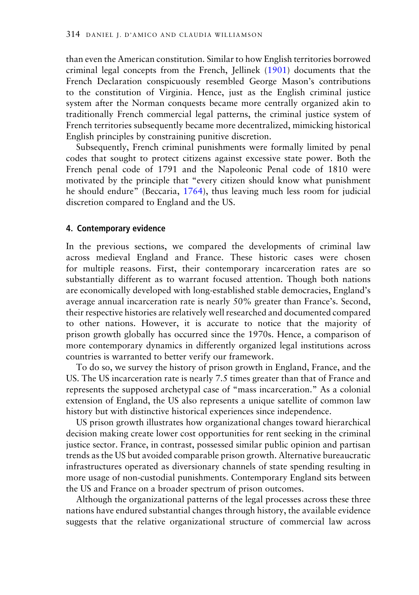<span id="page-11-0"></span>than even the American constitution. Similar to how English territories borrowed criminal legal concepts from the French, Jellinek [\(1901\)](#page-21-0) documents that the French Declaration conspicuously resembled George Mason's contributions to the constitution of Virginia. Hence, just as the English criminal justice system after the Norman conquests became more centrally organized akin to traditionally French commercial legal patterns, the criminal justice system of French territories subsequently became more decentralized, mimicking historical English principles by constraining punitive discretion.

Subsequently, French criminal punishments were formally limited by penal codes that sought to protect citizens against excessive state power. Both the French penal code of 1791 and the Napoleonic Penal code of 1810 were motivated by the principle that "every citizen should know what punishment he should endure" (Beccaria, [1764\)](#page-18-0), thus leaving much less room for judicial discretion compared to England and the US.

## **4. Contemporary evidence**

In the previous sections, we compared the developments of criminal law across medieval England and France. These historic cases were chosen for multiple reasons. First, their contemporary incarceration rates are so substantially different as to warrant focused attention. Though both nations are economically developed with long-established stable democracies, England's average annual incarceration rate is nearly 50% greater than France's. Second, their respective histories are relatively well researched and documented compared to other nations. However, it is accurate to notice that the majority of prison growth globally has occurred since the 1970s. Hence, a comparison of more contemporary dynamics in differently organized legal institutions across countries is warranted to better verify our framework.

To do so, we survey the history of prison growth in England, France, and the US. The US incarceration rate is nearly 7.5 times greater than that of France and represents the supposed archetypal case of "mass incarceration." As a colonial extension of England, the US also represents a unique satellite of common law history but with distinctive historical experiences since independence.

US prison growth illustrates how organizational changes toward hierarchical decision making create lower cost opportunities for rent seeking in the criminal justice sector. France, in contrast, possessed similar public opinion and partisan trends as the US but avoided comparable prison growth. Alternative bureaucratic infrastructures operated as diversionary channels of state spending resulting in more usage of non-custodial punishments. Contemporary England sits between the US and France on a broader spectrum of prison outcomes.

Although the organizational patterns of the legal processes across these three nations have endured substantial changes through history, the available evidence suggests that the relative organizational structure of commercial law across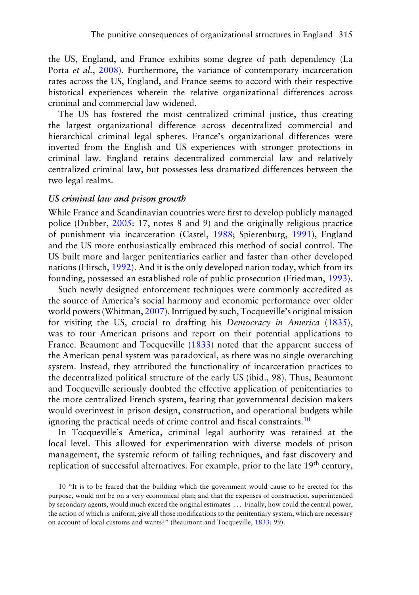the US, England, and France exhibits some degree of path dependency (La Porta *et al.*, [2008\)](#page-21-0). Furthermore, the variance of contemporary incarceration rates across the US, England, and France seems to accord with their respective historical experiences wherein the relative organizational differences across criminal and commercial law widened.

The US has fostered the most centralized criminal justice, thus creating the largest organizational difference across decentralized commercial and hierarchical criminal legal spheres. France's organizational differences were inverted from the English and US experiences with stronger protections in criminal law. England retains decentralized commercial law and relatively centralized criminal law, but possesses less dramatized differences between the two legal realms.

#### *US criminal law and prison growth*

While France and Scandinavian countries were first to develop publicly managed police (Dubber, [2005:](#page-20-0) 17, notes 8 and 9) and the originally religious practice of punishment via incarceration (Castel, [1988;](#page-19-0) Spierenburg, [1991\)](#page-22-0), England and the US more enthusiastically embraced this method of social control. The US built more and larger penitentiaries earlier and faster than other developed nations (Hirsch, [1992\)](#page-20-0). And it is the only developed nation today, which from its founding, possessed an established role of public prosecution (Friedman, [1993\)](#page-20-0).

Such newly designed enforcement techniques were commonly accredited as the source of America's social harmony and economic performance over older world powers (Whitman, [2007\)](#page-23-0). Intrigued by such, Tocqueville's original mission for visiting the US, crucial to drafting his *Democracy in America* [\(1835\)](#page-23-0), was to tour American prisons and report on their potential applications to France. Beaumont and Tocqueville [\(1833\)](#page-18-0) noted that the apparent success of the American penal system was paradoxical, as there was no single overarching system. Instead, they attributed the functionality of incarceration practices to the decentralized political structure of the early US (ibid., 98). Thus, Beaumont and Tocqueville seriously doubted the effective application of penitentiaries to the more centralized French system, fearing that governmental decision makers would overinvest in prison design, construction, and operational budgets while ignoring the practical needs of crime control and fiscal constraints. $10$ 

In Tocqueville's America, criminal legal authority was retained at the local level. This allowed for experimentation with diverse models of prison management, the systemic reform of failing techniques, and fast discovery and replication of successful alternatives. For example, prior to the late 19<sup>th</sup> century,

<sup>10 &</sup>quot;It is to be feared that the building which the government would cause to be erected for this purpose, would not be on a very economical plan; and that the expenses of construction, superintended by secondary agents, would much exceed the original estimates . . . Finally, how could the central power, the action of which is uniform, give all those modifications to the penitentiary system, which are necessary on account of local customs and wants?" (Beaumont and Tocqueville, [1833:](#page-18-0) 99).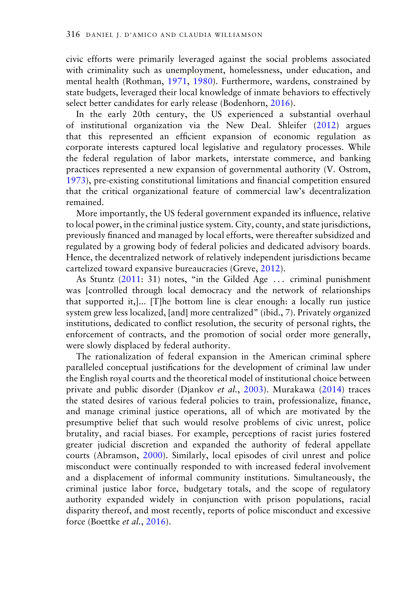civic efforts were primarily leveraged against the social problems associated with criminality such as unemployment, homelessness, under education, and mental health (Rothman, [1971,](#page-22-0) [1980\)](#page-22-0). Furthermore, wardens, constrained by state budgets, leveraged their local knowledge of inmate behaviors to effectively select better candidates for early release (Bodenhorn, [2016\)](#page-19-0).

In the early 20th century, the US experienced a substantial overhaul of institutional organization via the New Deal. Shleifer [\(2012\)](#page-22-0) argues that this represented an efficient expansion of economic regulation as corporate interests captured local legislative and regulatory processes. While the federal regulation of labor markets, interstate commerce, and banking practices represented a new expansion of governmental authority (V. Ostrom, [1973\)](#page-22-0), pre-existing constitutional limitations and financial competition ensured that the critical organizational feature of commercial law's decentralization remained.

More importantly, the US federal government expanded its influence, relative to local power, in the criminal justice system. City, county, and state jurisdictions, previously financed and managed by local efforts, were thereafter subsidized and regulated by a growing body of federal policies and dedicated advisory boards. Hence, the decentralized network of relatively independent jurisdictions became cartelized toward expansive bureaucracies (Greve, [2012\)](#page-20-0).

As Stuntz [\(2011:](#page-22-0) 31) notes, "in the Gilded Age ... criminal punishment was [controlled through local democracy and the network of relationships that supported it,]... [T]he bottom line is clear enough: a locally run justice system grew less localized, [and] more centralized" (ibid., 7). Privately organized institutions, dedicated to conflict resolution, the security of personal rights, the enforcement of contracts, and the promotion of social order more generally, were slowly displaced by federal authority.

The rationalization of federal expansion in the American criminal sphere paralleled conceptual justifications for the development of criminal law under the English royal courts and the theoretical model of institutional choice between private and public disorder (Djankov *et al.*, [2003\)](#page-20-0). Murakawa [\(2014\)](#page-21-0) traces the stated desires of various federal policies to train, professionalize, finance, and manage criminal justice operations, all of which are motivated by the presumptive belief that such would resolve problems of civic unrest, police brutality, and racial biases. For example, perceptions of racist juries fostered greater judicial discretion and expanded the authority of federal appellate courts (Abramson, [2000\)](#page-18-0). Similarly, local episodes of civil unrest and police misconduct were continually responded to with increased federal involvement and a displacement of informal community institutions. Simultaneously, the criminal justice labor force, budgetary totals, and the scope of regulatory authority expanded widely in conjunction with prison populations, racial disparity thereof, and most recently, reports of police misconduct and excessive force (Boettke *et al.*, [2016\)](#page-19-0).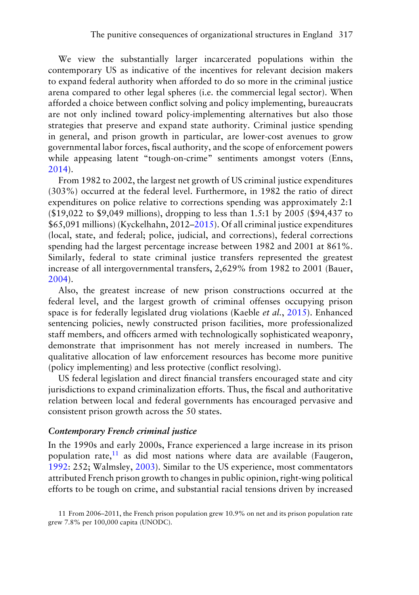We view the substantially larger incarcerated populations within the contemporary US as indicative of the incentives for relevant decision makers to expand federal authority when afforded to do so more in the criminal justice arena compared to other legal spheres (i.e. the commercial legal sector). When afforded a choice between conflict solving and policy implementing, bureaucrats are not only inclined toward policy-implementing alternatives but also those strategies that preserve and expand state authority. Criminal justice spending in general, and prison growth in particular, are lower-cost avenues to grow governmental labor forces, fiscal authority, and the scope of enforcement powers while appeasing latent "tough-on-crime" sentiments amongst voters (Enns, [2014\)](#page-20-0).

From 1982 to 2002, the largest net growth of US criminal justice expenditures (303%) occurred at the federal level. Furthermore, in 1982 the ratio of direct expenditures on police relative to corrections spending was approximately 2:1 (\$19,022 to \$9,049 millions), dropping to less than 1.5:1 by 2005 (\$94,437 to \$65,091 millions) (Kyckelhahn, 2012[–2015\)](#page-21-0). Of all criminal justice expenditures (local, state, and federal; police, judicial, and corrections), federal corrections spending had the largest percentage increase between 1982 and 2001 at 861%. Similarly, federal to state criminal justice transfers represented the greatest increase of all intergovernmental transfers, 2,629% from 1982 to 2001 (Bauer, [2004\)](#page-18-0).

Also, the greatest increase of new prison constructions occurred at the federal level, and the largest growth of criminal offenses occupying prison space is for federally legislated drug violations (Kaeble *et al.*, [2015\)](#page-21-0). Enhanced sentencing policies, newly constructed prison facilities, more professionalized staff members, and officers armed with technologically sophisticated weaponry, demonstrate that imprisonment has not merely increased in numbers. The qualitative allocation of law enforcement resources has become more punitive (policy implementing) and less protective (conflict resolving).

US federal legislation and direct financial transfers encouraged state and city jurisdictions to expand criminalization efforts. Thus, the fiscal and authoritative relation between local and federal governments has encouraged pervasive and consistent prison growth across the 50 states.

# *Contemporary French criminal justice*

In the 1990s and early 2000s, France experienced a large increase in its prison population rate, $11$  as did most nations where data are available (Faugeron, [1992:](#page-20-0) 252; Walmsley, [2003\)](#page-23-0). Similar to the US experience, most commentators attributed French prison growth to changes in public opinion, right-wing political efforts to be tough on crime, and substantial racial tensions driven by increased

11 From 2006–2011, the French prison population grew 10.9% on net and its prison population rate grew 7.8% per 100,000 capita (UNODC).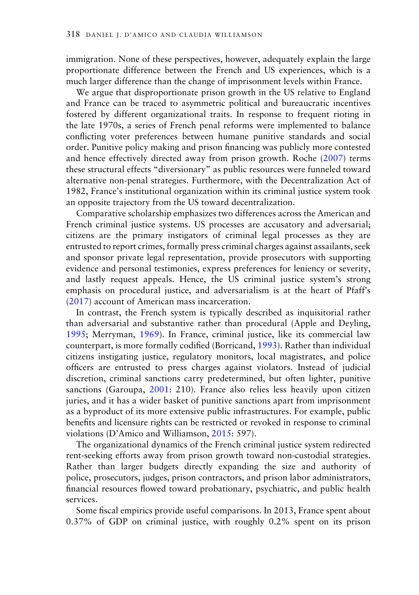immigration. None of these perspectives, however, adequately explain the large proportionate difference between the French and US experiences, which is a much larger difference than the change of imprisonment levels within France.

We argue that disproportionate prison growth in the US relative to England and France can be traced to asymmetric political and bureaucratic incentives fostered by different organizational traits. In response to frequent rioting in the late 1970s, a series of French penal reforms were implemented to balance conflicting voter preferences between humane punitive standards and social order. Punitive policy making and prison financing was publicly more contested and hence effectively directed away from prison growth. Roche [\(2007\)](#page-22-0) terms these structural effects "diversionary" as public resources were funneled toward alternative non-penal strategies. Furthermore, with the Decentralization Act of 1982, France's institutional organization within its criminal justice system took an opposite trajectory from the US toward decentralization.

Comparative scholarship emphasizes two differences across the American and French criminal justice systems. US processes are accusatory and adversarial; citizens are the primary instigators of criminal legal processes as they are entrusted to report crimes, formally press criminal charges against assailants, seek and sponsor private legal representation, provide prosecutors with supporting evidence and personal testimonies, express preferences for leniency or severity, and lastly request appeals. Hence, the US criminal justice system's strong emphasis on procedural justice, and adversarialism is at the heart of Pfaff's [\(2017\)](#page-22-0) account of American mass incarceration.

In contrast, the French system is typically described as inquisitorial rather than adversarial and substantive rather than procedural (Apple and Deyling, [1995;](#page-18-0) Merryman, [1969\)](#page-21-0). In France, criminal justice, like its commercial law counterpart, is more formally codified (Borricand, [1993\)](#page-19-0). Rather than individual citizens instigating justice, regulatory monitors, local magistrates, and police officers are entrusted to press charges against violators. Instead of judicial discretion, criminal sanctions carry predetermined, but often lighter, punitive sanctions (Garoupa, [2001:](#page-20-0) 210). France also relies less heavily upon citizen juries, and it has a wider basket of punitive sanctions apart from imprisonment as a byproduct of its more extensive public infrastructures. For example, public benefits and licensure rights can be restricted or revoked in response to criminal violations (D'Amico and Williamson, [2015:](#page-19-0) 597).

The organizational dynamics of the French criminal justice system redirected rent-seeking efforts away from prison growth toward non-custodial strategies. Rather than larger budgets directly expanding the size and authority of police, prosecutors, judges, prison contractors, and prison labor administrators, financial resources flowed toward probationary, psychiatric, and public health services.

Some fiscal empirics provide useful comparisons. In 2013, France spent about 0.37% of GDP on criminal justice, with roughly 0.2% spent on its prison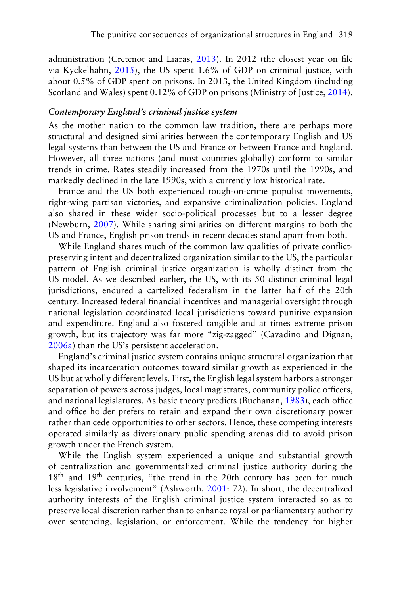administration (Cretenot and Liaras, [2013\)](#page-19-0). In 2012 (the closest year on file via Kyckelhahn, [2015\)](#page-21-0), the US spent 1.6% of GDP on criminal justice, with about 0.5% of GDP spent on prisons. In 2013, the United Kingdom (including Scotland and Wales) spent 0.12% of GDP on prisons (Ministry of Justice, [2014\)](#page-21-0).

# *Contemporary England's criminal justice system*

As the mother nation to the common law tradition, there are perhaps more structural and designed similarities between the contemporary English and US legal systems than between the US and France or between France and England. However, all three nations (and most countries globally) conform to similar trends in crime. Rates steadily increased from the 1970s until the 1990s, and markedly declined in the late 1990s, with a currently low historical rate.

France and the US both experienced tough-on-crime populist movements, right-wing partisan victories, and expansive criminalization policies. England also shared in these wider socio-political processes but to a lesser degree (Newburn, [2007\)](#page-21-0). While sharing similarities on different margins to both the US and France, English prison trends in recent decades stand apart from both.

While England shares much of the common law qualities of private conflictpreserving intent and decentralized organization similar to the US, the particular pattern of English criminal justice organization is wholly distinct from the US model. As we described earlier, the US, with its 50 distinct criminal legal jurisdictions, endured a cartelized federalism in the latter half of the 20th century. Increased federal financial incentives and managerial oversight through national legislation coordinated local jurisdictions toward punitive expansion and expenditure. England also fostered tangible and at times extreme prison growth, but its trajectory was far more "zig-zagged" (Cavadino and Dignan, [2006a\)](#page-19-0) than the US's persistent acceleration.

England's criminal justice system contains unique structural organization that shaped its incarceration outcomes toward similar growth as experienced in the US but at wholly different levels. First, the English legal system harbors a stronger separation of powers across judges, local magistrates, community police officers, and national legislatures. As basic theory predicts (Buchanan, [1983\)](#page-19-0), each office and office holder prefers to retain and expand their own discretionary power rather than cede opportunities to other sectors. Hence, these competing interests operated similarly as diversionary public spending arenas did to avoid prison growth under the French system.

While the English system experienced a unique and substantial growth of centralization and governmentalized criminal justice authority during the 18<sup>th</sup> and 19<sup>th</sup> centuries, "the trend in the 20th century has been for much less legislative involvement" (Ashworth, [2001:](#page-18-0) 72). In short, the decentralized authority interests of the English criminal justice system interacted so as to preserve local discretion rather than to enhance royal or parliamentary authority over sentencing, legislation, or enforcement. While the tendency for higher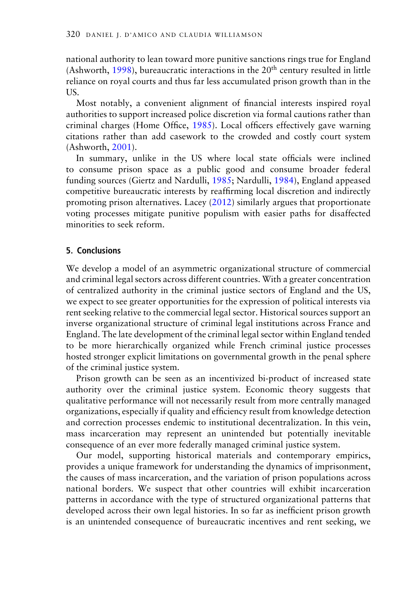national authority to lean toward more punitive sanctions rings true for England (Ashworth,  $1998$ ), bureaucratic interactions in the  $20<sup>th</sup>$  century resulted in little reliance on royal courts and thus far less accumulated prison growth than in the US.

Most notably, a convenient alignment of financial interests inspired royal authorities to support increased police discretion via formal cautions rather than criminal charges (Home Office, [1985\)](#page-20-0). Local officers effectively gave warning citations rather than add casework to the crowded and costly court system (Ashworth, [2001\)](#page-18-0).

In summary, unlike in the US where local state officials were inclined to consume prison space as a public good and consume broader federal funding sources (Giertz and Nardulli, [1985;](#page-20-0) Nardulli, [1984\)](#page-21-0), England appeased competitive bureaucratic interests by reaffirming local discretion and indirectly promoting prison alternatives. Lacey [\(2012\)](#page-21-0) similarly argues that proportionate voting processes mitigate punitive populism with easier paths for disaffected minorities to seek reform.

### **5. Conclusions**

We develop a model of an asymmetric organizational structure of commercial and criminal legal sectors across different countries. With a greater concentration of centralized authority in the criminal justice sectors of England and the US, we expect to see greater opportunities for the expression of political interests via rent seeking relative to the commercial legal sector. Historical sources support an inverse organizational structure of criminal legal institutions across France and England. The late development of the criminal legal sector within England tended to be more hierarchically organized while French criminal justice processes hosted stronger explicit limitations on governmental growth in the penal sphere of the criminal justice system.

Prison growth can be seen as an incentivized bi-product of increased state authority over the criminal justice system. Economic theory suggests that qualitative performance will not necessarily result from more centrally managed organizations, especially if quality and efficiency result from knowledge detection and correction processes endemic to institutional decentralization. In this vein, mass incarceration may represent an unintended but potentially inevitable consequence of an ever more federally managed criminal justice system.

Our model, supporting historical materials and contemporary empirics, provides a unique framework for understanding the dynamics of imprisonment, the causes of mass incarceration, and the variation of prison populations across national borders. We suspect that other countries will exhibit incarceration patterns in accordance with the type of structured organizational patterns that developed across their own legal histories. In so far as inefficient prison growth is an unintended consequence of bureaucratic incentives and rent seeking, we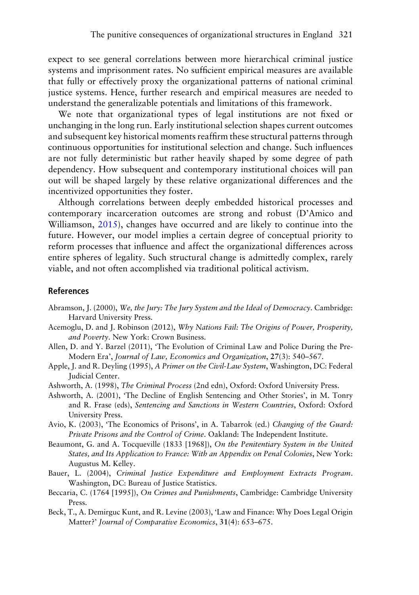<span id="page-18-0"></span>expect to see general correlations between more hierarchical criminal justice systems and imprisonment rates. No sufficient empirical measures are available that fully or effectively proxy the organizational patterns of national criminal justice systems. Hence, further research and empirical measures are needed to understand the generalizable potentials and limitations of this framework.

We note that organizational types of legal institutions are not fixed or unchanging in the long run. Early institutional selection shapes current outcomes and subsequent key historical moments reaffirm these structural patterns through continuous opportunities for institutional selection and change. Such influences are not fully deterministic but rather heavily shaped by some degree of path dependency. How subsequent and contemporary institutional choices will pan out will be shaped largely by these relative organizational differences and the incentivized opportunities they foster.

Although correlations between deeply embedded historical processes and contemporary incarceration outcomes are strong and robust (D'Amico and Williamson, [2015\)](#page-19-0), changes have occurred and are likely to continue into the future. However, our model implies a certain degree of conceptual priority to reform processes that influence and affect the organizational differences across entire spheres of legality. Such structural change is admittedly complex, rarely viable, and not often accomplished via traditional political activism.

# **References**

- Abramson, J. (2000), *We, the Jury: The Jury System and the Ideal of Democracy*. Cambridge: Harvard University Press.
- Acemoglu, D. and J. Robinson (2012), *Why Nations Fail: The Origins of Power, Prosperity, and Poverty*. New York: Crown Business.
- Allen, D. and Y. Barzel (2011), 'The Evolution of Criminal Law and Police During the Pre-Modern Era', *Journal of Law, Economics and Organization*, **27**(3): 540–567.
- Apple, J. and R. Deyling (1995), *A Primer on the Civil-Law System*, Washington, DC: Federal Judicial Center.
- Ashworth, A. (1998), *The Criminal Process* (2nd edn), Oxford: Oxford University Press.
- Ashworth, A. (2001), 'The Decline of English Sentencing and Other Stories', in M. Tonry and R. Frase (eds), *Sentencing and Sanctions in Western Countries*, Oxford: Oxford University Press.
- Avio, K. (2003), 'The Economics of Prisons', in A. Tabarrok (ed.) *Changing of the Guard: Private Prisons and the Control of Crime*. Oakland: The Independent Institute.
- Beaumont, G. and A. Tocqueville (1833 [1968]), *On the Penitentiary System in the United States, and Its Application to France: With an Appendix on Penal Colonies*, New York: Augustus M. Kelley.
- Bauer, L. (2004), *Criminal Justice Expenditure and Employment Extracts Program*. Washington, DC: Bureau of Justice Statistics.
- Beccaria, C. (1764 [1995]), *On Crimes and Punishments*, Cambridge: Cambridge University Press.
- Beck, T., A. Demirguc Kunt, and R. Levine (2003), 'Law and Finance: Why Does Legal Origin Matter?' *Journal of Comparative Economics*, **31**(4): 653–675.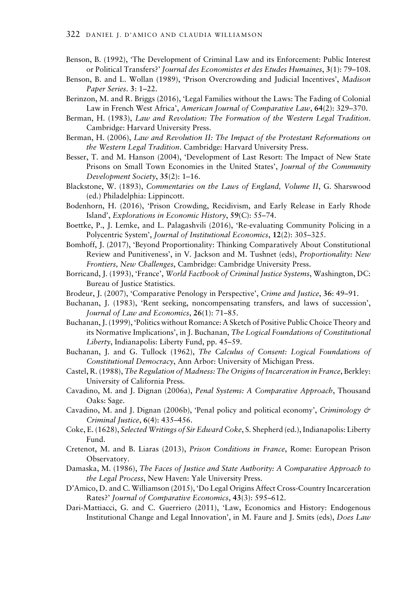- <span id="page-19-0"></span>Benson, B. (1992), 'The Development of Criminal Law and its Enforcement: Public Interest or Political Transfers?' *Journal des Economistes et des Etudes Humaines*, **3**(1): 79–108.
- Benson, B. and L. Wollan (1989), 'Prison Overcrowding and Judicial Incentives', *Madison Paper Series*. **3**: 1–22.
- Berinzon, M. and R. Briggs (2016), 'Legal Families without the Laws: The Fading of Colonial Law in French West Africa', *American Journal of Comparative Law*, **64**(2): 329–370.
- Berman, H. (1983), *Law and Revolution: The Formation of the Western Legal Tradition*. Cambridge: Harvard University Press.
- Berman, H. (2006), *Law and Revolution II: The Impact of the Protestant Reformations on the Western Legal Tradition*. Cambridge: Harvard University Press.
- Besser, T. and M. Hanson (2004), 'Development of Last Resort: The Impact of New State Prisons on Small Town Economies in the United States', *Journal of the Community Development Society*, **35**(2): 1–16.
- Blackstone, W. (1893), *Commentaries on the Laws of England, Volume II*, G. Sharswood (ed.) Philadelphia: Lippincott.
- Bodenhorn, H. (2016), 'Prison Crowding, Recidivism, and Early Release in Early Rhode Island', *Explorations in Economic History*, **59**(C): 55–74.
- Boettke, P., J. Lemke, and L. Palagashvili (2016), 'Re-evaluating Community Policing in a Polycentric System', *Journal of Institutional Economics*, **12**(2): 305–325.
- Bomhoff, J. (2017), 'Beyond Proportionality: Thinking Comparatively About Constitutional Review and Punitiveness', in V. Jackson and M. Tushnet (eds), *Proportionality: New Frontiers, New Challenges*, Cambridge: Cambridge University Press.
- Borricand, J. (1993), 'France', *World Factbook of Criminal Justice Systems*, Washington, DC: Bureau of Justice Statistics.
- Brodeur, J. (2007), 'Comparative Penology in Perspective', *Crime and Justice*, **36**: 49–91.
- Buchanan, J. (1983), 'Rent seeking, noncompensating transfers, and laws of succession', *Journal of Law and Economics*, **26**(1): 71–85.
- Buchanan, J. (1999), 'Politics without Romance: A Sketch of Positive Public Choice Theory and its Normative Implications', in J. Buchanan, *The Logical Foundations of Constitutional Liberty*, Indianapolis: Liberty Fund, pp. 45–59.
- Buchanan, J. and G. Tullock (1962), *The Calculus of Consent: Logical Foundations of Constitutional Democracy*, Ann Arbor: University of Michigan Press.
- Castel, R. (1988), *The Regulation of Madness: The Origins of Incarceration in France*, Berkley: University of California Press.
- Cavadino, M. and J. Dignan (2006a), *Penal Systems: A Comparative Approach*, Thousand Oaks: Sage.
- Cavadino, M. and J. Dignan (2006b), 'Penal policy and political economy', *Criminology & Criminal Justice*, **6**(4): 435–456.
- Coke, E. (1628), *Selected Writings of Sir Edward Coke*, S. Shepherd (ed.), Indianapolis: Liberty Fund.
- Cretenot, M. and B. Liaras (2013), *Prison Conditions in France*, Rome: European Prison Observatory.
- Damaska, M. (1986), *The Faces of Justice and State Authority: A Comparative Approach to the Legal Process*, New Haven: Yale University Press.
- D'Amico, D. and C. Williamson (2015), 'Do Legal Origins Affect Cross-Country Incarceration Rates?' *Journal of Comparative Economics*, **43**(3): 595–612.
- Dari-Mattiacci, G. and C. Guerriero (2011), 'Law, Economics and History: Endogenous Institutional Change and Legal Innovation', in M. Faure and J. Smits (eds), *Does Law*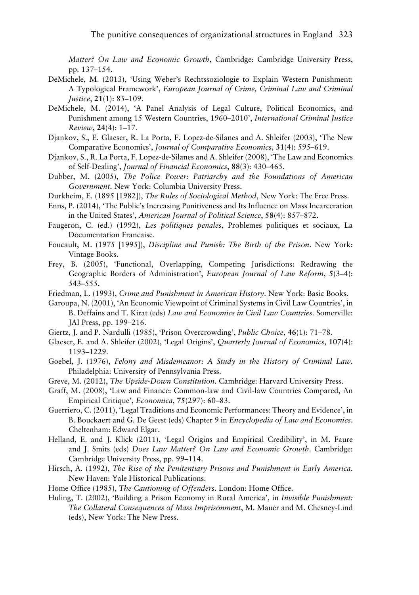<span id="page-20-0"></span>*Matter? On Law and Economic Growth*, Cambridge: Cambridge University Press, pp. 137–154.

- DeMichele, M. (2013), 'Using Weber's Rechtssoziologie to Explain Western Punishment: A Typological Framework', *European Journal of Crime, Criminal Law and Criminal Justice*, **21**(1): 85–109.
- DeMichele, M. (2014), 'A Panel Analysis of Legal Culture, Political Economics, and Punishment among 15 Western Countries, 1960–2010', *International Criminal Justice Review*, **24**(4): 1–17.
- Djankov, S., E. Glaeser, R. La Porta, F. Lopez-de-Silanes and A. Shleifer (2003), 'The New Comparative Economics', *Journal of Comparative Economics*, **31**(4): 595–619.
- Djankov, S., R. La Porta, F. Lopez-de-Silanes and A. Shleifer (2008), 'The Law and Economics of Self-Dealing', *Journal of Financial Economics*, **88**(3): 430–465.
- Dubber, M. (2005), *The Police Power: Patriarchy and the Foundations of American Government*. New York: Columbia University Press.
- Durkheim, E. (1895 [1982]), *The Rules of Sociological Method*, New York: The Free Press.
- Enns, P. (2014), 'The Public's Increasing Punitiveness and Its Influence on Mass Incarceration in the United States', *American Journal of Political Science*, **58**(4): 857–872.
- Faugeron, C. (ed.) (1992), *Les politiques penales*, Problemes politiques et sociaux, La Documentation Francaise.
- Foucault, M. (1975 [1995]), *Discipline and Punish: The Birth of the Prison*. New York: Vintage Books.
- Frey, B. (2005), 'Functional, Overlapping, Competing Jurisdictions: Redrawing the Geographic Borders of Administration', *European Journal of Law Reform*, **5**(3–4): 543–555.
- Friedman, L. (1993), *Crime and Punishment in American History*. New York: Basic Books.
- Garoupa, N. (2001), 'An Economic Viewpoint of Criminal Systems in Civil Law Countries', in B. Deffains and T. Kirat (eds) *Law and Economics in Civil Law Countries*. Somerville: JAI Press, pp. 199–216.
- Giertz, J. and P. Nardulli (1985), 'Prison Overcrowding', *Public Choice*, **46**(1): 71–78.
- Glaeser, E. and A. Shleifer (2002), 'Legal Origins', *Quarterly Journal of Economics*, **107**(4): 1193–1229.
- Goebel, J. (1976), *Felony and Misdemeanor: A Study in the History of Criminal Law*. Philadelphia: University of Pennsylvania Press.
- Greve, M. (2012), *The Upside-Down Constitution*. Cambridge: Harvard University Press.
- Graff, M. (2008), 'Law and Finance: Common-law and Civil-law Countries Compared, An Empirical Critique', *Economica*, **75**(297): 60–83.
- Guerriero, C. (2011), 'Legal Traditions and Economic Performances: Theory and Evidence', in B. Bouckaert and G. De Geest (eds) Chapter 9 in *Encyclopedia of Law and Economics*. Cheltenham: Edward Elgar.
- Helland, E. and J. Klick (2011), 'Legal Origins and Empirical Credibility', in M. Faure and J. Smits (eds) *Does Law Matter? On Law and Economic Growth*. Cambridge: Cambridge University Press, pp. 99–114.
- Hirsch, A. (1992), *The Rise of the Penitentiary Prisons and Punishment in Early America*. New Haven: Yale Historical Publications.
- Home Office (1985), *The Cautioning of Offenders*. London: Home Office.
- Huling, T. (2002), 'Building a Prison Economy in Rural America', in *Invisible Punishment: The Collateral Consequences of Mass Imprisonment*, M. Mauer and M. Chesney-Lind (eds), New York: The New Press.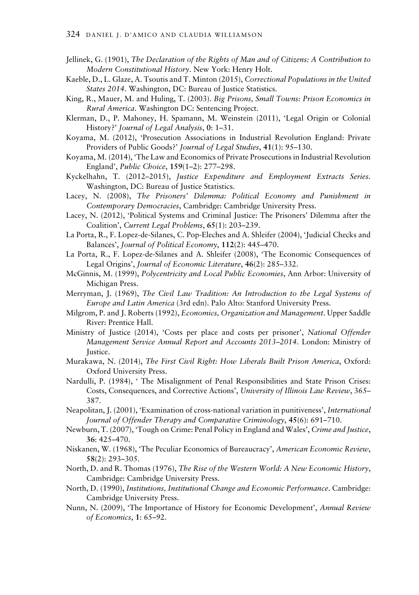- <span id="page-21-0"></span>Jellinek, G. (1901), *The Declaration of the Rights of Man and of Citizens: A Contribution to Modern Constitutional History*. New York: Henry Holt.
- Kaeble, D., L. Glaze, A. Tsoutis and T. Minton (2015), *Correctional Populations in the United States 2014*. Washington, DC: Bureau of Justice Statistics.
- King, R., Mauer, M. and Huling, T. (2003). *Big Prisons, Small Towns: Prison Economics in Rural America*. Washington DC: Sentencing Project.
- Klerman, D., P. Mahoney, H. Spamann, M. Weinstein (2011), 'Legal Origin or Colonial History?' *Journal of Legal Analysis*, **0**: 1–31.
- Koyama, M. (2012), 'Prosecution Associations in Industrial Revolution England: Private Providers of Public Goods?' *Journal of Legal Studies*, **41**(1): 95–130.
- Koyama, M. (2014), 'The Law and Economics of Private Prosecutions in Industrial Revolution England', *Public Choice*, **159**(1–2): 277–298.
- Kyckelhahn, T. (2012–2015), *Justice Expenditure and Employment Extracts Series*. Washington, DC: Bureau of Justice Statistics.
- Lacey, N. (2008), *The Prisoners' Dilemma: Political Economy and Punishment in Contemporary Democracies*, Cambridge: Cambridge University Press.
- Lacey, N. (2012), 'Political Systems and Criminal Justice: The Prisoners' Dilemma after the Coalition', *Current Legal Problems*, **65**(1): 203–239.
- La Porta, R., F. Lopez-de-Silanes, C. Pop-Eleches and A. Shleifer (2004), 'Judicial Checks and Balances', *Journal of Political Economy*, **112**(2): 445–470.
- La Porta, R., F. Lopez-de-Silanes and A. Shleifer (2008), 'The Economic Consequences of Legal Origins', *Journal of Economic Literature*, **46**(2): 285–332.
- McGinnis, M. (1999), *Polycentricity and Local Public Economies*, Ann Arbor: University of Michigan Press.
- Merryman, J. (1969), *The Civil Law Tradition: An Introduction to the Legal Systems of Europe and Latin America* (3rd edn). Palo Alto: Stanford University Press.
- Milgrom, P. and J. Roberts (1992), *Economics, Organization and Management*. Upper Saddle River: Prentice Hall.
- Ministry of Justice (2014), 'Costs per place and costs per prisoner', *National Offender Management Service Annual Report and Accounts 2013–2014*. London: Ministry of Justice.
- Murakawa, N. (2014), *The First Civil Right: How Liberals Built Prison America*, Oxford: Oxford University Press.
- Nardulli, P. (1984), ' The Misalignment of Penal Responsibilities and State Prison Crises: Costs, Consequences, and Corrective Actions', *University of Illinois Law Review*, 365– 387.
- Neapolitan, J. (2001), 'Examination of cross-national variation in punitiveness', *International Journal of Offender Therapy and Comparative Criminology*, **45**(6): 691–710.
- Newburn, T. (2007), 'Tough on Crime: Penal Policy in England and Wales', *Crime and Justice*, **36**: 425–470.
- Niskanen, W. (1968), 'The Peculiar Economics of Bureaucracy', *American Economic Review*, **58**(2): 293–305.
- North, D. and R. Thomas (1976), *The Rise of the Western World: A New Economic History*, Cambridge: Cambridge University Press.
- North, D. (1990), *Institutions, Institutional Change and Economic Performance*. Cambridge: Cambridge University Press.
- Nunn, N. (2009), 'The Importance of History for Economic Development', *Annual Review of Economics*, **1**: 65–92.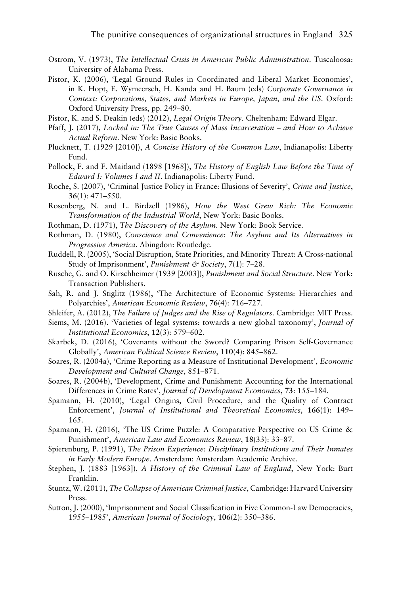- <span id="page-22-0"></span>Ostrom, V. (1973), *The Intellectual Crisis in American Public Administration*. Tuscaloosa: University of Alabama Press.
- Pistor, K. (2006), 'Legal Ground Rules in Coordinated and Liberal Market Economies', in K. Hopt, E. Wymeersch, H. Kanda and H. Baum (eds) *Corporate Governance in Context: Corporations, States, and Markets in Europe, Japan, and the US*. Oxford: Oxford University Press, pp. 249–80.
- Pistor, K. and S. Deakin (eds) (2012), *Legal Origin Theory*. Cheltenham: Edward Elgar.
- Pfaff, J. (2017), *Locked in: The True Causes of Mass Incarceration and How to Achieve Actual Reform*. New York: Basic Books.
- Plucknett, T. (1929 [2010]), *A Concise History of the Common Law*, Indianapolis: Liberty Fund.
- Pollock, F. and F. Maitland (1898 [1968]), *The History of English Law Before the Time of Edward I: Volumes I and II*. Indianapolis: Liberty Fund.
- Roche, S. (2007), 'Criminal Justice Policy in France: Illusions of Severity', *Crime and Justice*, **36**(1): 471–550.
- Rosenberg, N. and L. Birdzell (1986), *How the West Grew Rich: The Economic Transformation of the Industrial World*, New York: Basic Books.
- Rothman, D. (1971), *The Discovery of the Asylum*. New York: Book Service.
- Rothman, D. (1980), *Conscience and Convenience: The Asylum and Its Alternatives in Progressive America*. Abingdon: Routledge.
- Ruddell, R. (2005), 'Social Disruption, State Priorities, and Minority Threat: A Cross-national Study of Imprisonment', *Punishment & Society*, **7**(1): 7–28.
- Rusche, G. and O. Kirschheimer (1939 [2003]), *Punishment and Social Structure*. New York: Transaction Publishers.
- Sah, R. and J. Stiglitz (1986), 'The Architecture of Economic Systems: Hierarchies and Polyarchies', *American Economic Review*, **76**(4): 716–727.
- Shleifer, A. (2012), *The Failure of Judges and the Rise of Regulators*. Cambridge: MIT Press.
- Siems, M. (2016). 'Varieties of legal systems: towards a new global taxonomy', *Journal of Institutional Economics*, **12**(3): 579–602.
- Skarbek, D. (2016), 'Covenants without the Sword? Comparing Prison Self-Governance Globally', *American Political Science Review*, **110**(4): 845–862.
- Soares, R. (2004a), 'Crime Reporting as a Measure of Institutional Development', *Economic Development and Cultural Change*, 851–871.
- Soares, R. (2004b), 'Development, Crime and Punishment: Accounting for the International Differences in Crime Rates', *Journal of Development Economics*, **73**: 155–184.
- Spamann, H. (2010), 'Legal Origins, Civil Procedure, and the Quality of Contract Enforcement', *Journal of Institutional and Theoretical Economics*, **166**(1): 149– 165.
- Spamann, H. (2016), 'The US Crime Puzzle: A Comparative Perspective on US Crime & Punishment', *American Law and Economics Review*, **18**(33): 33–87.
- Spierenburg, P. (1991), *The Prison Experience: Disciplinary Institutions and Their Inmates in Early Modern Europe*. Amsterdam: Amsterdam Academic Archive.
- Stephen, J. (1883 [1963]), *A History of the Criminal Law of England*, New York: Burt Franklin.
- Stuntz, W. (2011), *The Collapse of American Criminal Justice*, Cambridge: Harvard University Press.
- Sutton, J. (2000), 'Imprisonment and Social Classification in Five Common-Law Democracies, 1955–1985', *American Journal of Sociology*, **106**(2): 350–386.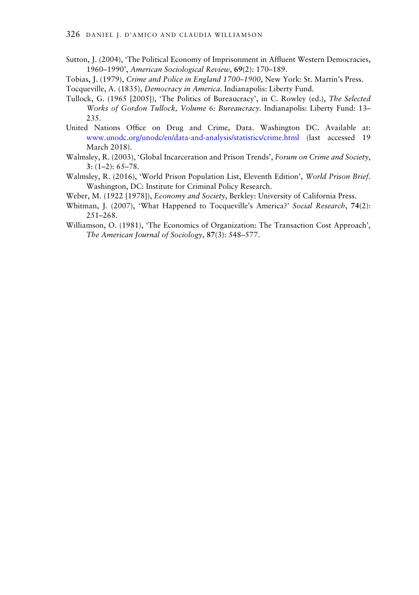<span id="page-23-0"></span>Sutton, J. (2004), 'The Political Economy of Imprisonment in Affluent Western Democracies, 1960–1990', *American Sociological Review*, **69**(2): 170–189.

Tobias, J. (1979), *Crime and Police in England 1700–1900*, New York: St. Martin's Press.

Tocqueville, A. (1835), *Democracy in America*. Indianapolis: Liberty Fund.

- Tullock, G. (1965 [2005]), 'The Politics of Bureaucracy', in C. Rowley (ed.), *The Selected Works of Gordon Tullock, Volume 6: Bureaucracy*. Indianapolis: Liberty Fund: 13– 235.
- United Nations Office on Drug and Crime, Data. Washington DC. Available at: [www.unodc.org/unodc/en/data-and-analysis/statistics/crime.html](http://www.unodc.org/unodc/en/data-and-analysis/statistics/crime.html) (last accessed 19 March 2018).
- Walmsley, R. (2003), 'Global Incarceration and Prison Trends', *Forum on Crime and Society*, **3**: (1–2): 65–78.
- Walmsley, R. (2016), 'World Prison Population List, Eleventh Edition', *World Prison Brief*. Washington, DC: Institute for Criminal Policy Research.
- Weber, M. (1922 [1978]), *Economy and Society*, Berkley: University of California Press.
- Whitman, J. (2007), 'What Happened to Tocqueville's America?' *Social Research*, **74**(2): 251–268.
- Williamson, O. (1981), 'The Economics of Organization: The Transaction Cost Approach', *The American Journal of Sociology*, **87**(3): 548–577.